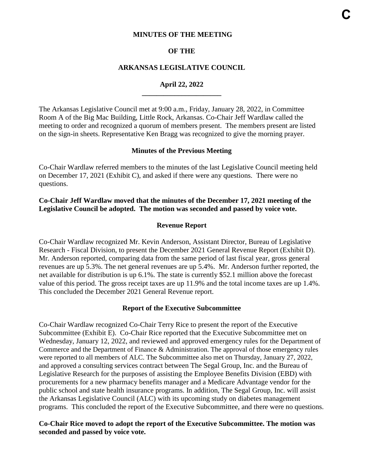#### **MINUTES OF THE MEETING**

#### **OF THE**

#### **ARKANSAS LEGISLATIVE COUNCIL**

# **April 22, 2022 \_\_\_\_\_\_\_\_\_\_\_\_\_\_\_\_\_\_\_\_\_\_**

The Arkansas Legislative Council met at 9:00 a.m., Friday, January 28, 2022, in Committee Room A of the Big Mac Building, Little Rock, Arkansas. Co-Chair Jeff Wardlaw called the meeting to order and recognized a quorum of members present. The members present are listed on the sign-in sheets. Representative Ken Bragg was recognized to give the morning prayer.

#### **Minutes of the Previous Meeting**

Co-Chair Wardlaw referred members to the minutes of the last Legislative Council meeting held on December 17, 2021 (Exhibit C), and asked if there were any questions. There were no questions.

#### **Co-Chair Jeff Wardlaw moved that the minutes of the December 17, 2021 meeting of the Legislative Council be adopted. The motion was seconded and passed by voice vote.**

#### **Revenue Report**

Co-Chair Wardlaw recognized Mr. Kevin Anderson, Assistant Director, Bureau of Legislative Research - Fiscal Division, to present the December 2021 General Revenue Report (Exhibit D). Mr. Anderson reported, comparing data from the same period of last fiscal year, gross general revenues are up 5.3%. The net general revenues are up 5.4%. Mr. Anderson further reported, the net available for distribution is up 6.1%. The state is currently \$52.1 million above the forecast value of this period. The gross receipt taxes are up 11.9% and the total income taxes are up 1.4%. This concluded the December 2021 General Revenue report.

#### **Report of the Executive Subcommittee**

Co-Chair Wardlaw recognized Co-Chair Terry Rice to present the report of the Executive Subcommittee (Exhibit E). Co-Chair Rice reported that the Executive Subcommittee met on Wednesday, January 12, 2022, and reviewed and approved emergency rules for the Department of Commerce and the Department of Finance & Administration. The approval of those emergency rules were reported to all members of ALC. The Subcommittee also met on Thursday, January 27, 2022, and approved a consulting services contract between The Segal Group, Inc. and the Bureau of Legislative Research for the purposes of assisting the Employee Benefits Division (EBD) with procurements for a new pharmacy benefits manager and a Medicare Advantage vendor for the public school and state health insurance programs. In addition, The Segal Group, Inc. will assist the Arkansas Legislative Council (ALC) with its upcoming study on diabetes management programs. This concluded the report of the Executive Subcommittee, and there were no questions.

#### **Co-Chair Rice moved to adopt the report of the Executive Subcommittee. The motion was seconded and passed by voice vote.**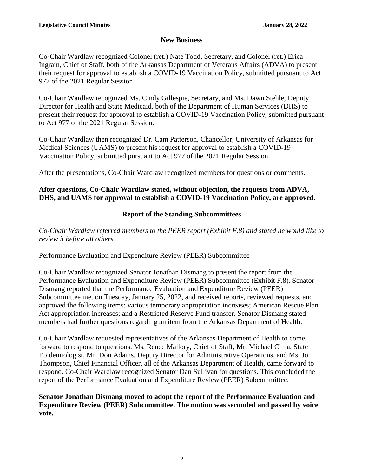# **New Business**

Co-Chair Wardlaw recognized Colonel (ret.) Nate Todd, Secretary, and Colonel (ret.) Erica Ingram, Chief of Staff, both of the Arkansas Department of Veterans Affairs (ADVA) to present their request for approval to establish a COVID-19 Vaccination Policy, submitted pursuant to Act 977 of the 2021 Regular Session.

Co-Chair Wardlaw recognized Ms. Cindy Gillespie, Secretary, and Ms. Dawn Stehle, Deputy Director for Health and State Medicaid, both of the Department of Human Services (DHS) to present their request for approval to establish a COVID-19 Vaccination Policy, submitted pursuant to Act 977 of the 2021 Regular Session.

Co-Chair Wardlaw then recognized Dr. Cam Patterson, Chancellor, University of Arkansas for Medical Sciences (UAMS) to present his request for approval to establish a COVID-19 Vaccination Policy, submitted pursuant to Act 977 of the 2021 Regular Session.

After the presentations, Co-Chair Wardlaw recognized members for questions or comments.

# **After questions, Co-Chair Wardlaw stated, without objection, the requests from ADVA, DHS, and UAMS for approval to establish a COVID-19 Vaccination Policy, are approved.**

# **Report of the Standing Subcommittees**

*Co-Chair Wardlaw referred members to the PEER report (Exhibit F.8) and stated he would like to review it before all others.* 

# Performance Evaluation and Expenditure Review (PEER) Subcommittee

Co-Chair Wardlaw recognized Senator Jonathan Dismang to present the report from the Performance Evaluation and Expenditure Review (PEER) Subcommittee (Exhibit F.8). Senator Dismang reported that the Performance Evaluation and Expenditure Review (PEER) Subcommittee met on Tuesday, January 25, 2022, and received reports, reviewed requests, and approved the following items: various temporary appropriation increases; American Rescue Plan Act appropriation increases; and a Restricted Reserve Fund transfer. Senator Dismang stated members had further questions regarding an item from the Arkansas Department of Health.

Co-Chair Wardlaw requested representatives of the Arkansas Department of Health to come forward to respond to questions. Ms. Renee Mallory, Chief of Staff, Mr. Michael Cima, State Epidemiologist, Mr. Don Adams, Deputy Director for Administrative Operations, and Ms. Jo Thompson, Chief Financial Officer, all of the Arkansas Department of Health, came forward to respond. Co-Chair Wardlaw recognized Senator Dan Sullivan for questions. This concluded the report of the Performance Evaluation and Expenditure Review (PEER) Subcommittee.

# **Senator Jonathan Dismang moved to adopt the report of the Performance Evaluation and Expenditure Review (PEER) Subcommittee. The motion was seconded and passed by voice vote.**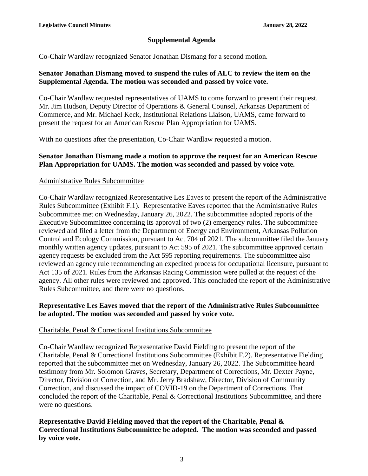# **Supplemental Agenda**

Co-Chair Wardlaw recognized Senator Jonathan Dismang for a second motion.

### **Senator Jonathan Dismang moved to suspend the rules of ALC to review the item on the Supplemental Agenda. The motion was seconded and passed by voice vote.**

Co-Chair Wardlaw requested representatives of UAMS to come forward to present their request. Mr. Jim Hudson, Deputy Director of Operations & General Counsel, Arkansas Department of Commerce, and Mr. Michael Keck, Institutional Relations Liaison, UAMS, came forward to present the request for an American Rescue Plan Appropriation for UAMS.

With no questions after the presentation, Co-Chair Wardlaw requested a motion.

# **Senator Jonathan Dismang made a motion to approve the request for an American Rescue Plan Appropriation for UAMS. The motion was seconded and passed by voice vote.**

## Administrative Rules Subcommittee

Co-Chair Wardlaw recognized Representative Les Eaves to present the report of the Administrative Rules Subcommittee (Exhibit F.1). Representative Eaves reported that the Administrative Rules Subcommittee met on Wednesday, January 26, 2022. The subcommittee adopted reports of the Executive Subcommittee concerning its approval of two (2) emergency rules. The subcommittee reviewed and filed a letter from the Department of Energy and Environment, Arkansas Pollution Control and Ecology Commission, pursuant to Act 704 of 2021. The subcommittee filed the January monthly written agency updates, pursuant to Act 595 of 2021. The subcommittee approved certain agency requests be excluded from the Act 595 reporting requirements. The subcommittee also reviewed an agency rule recommending an expedited process for occupational licensure, pursuant to Act 135 of 2021. Rules from the Arkansas Racing Commission were pulled at the request of the agency. All other rules were reviewed and approved. This concluded the report of the Administrative Rules Subcommittee, and there were no questions.

## **Representative Les Eaves moved that the report of the Administrative Rules Subcommittee be adopted. The motion was seconded and passed by voice vote.**

# Charitable, Penal & Correctional Institutions Subcommittee

Co-Chair Wardlaw recognized Representative David Fielding to present the report of the Charitable, Penal & Correctional Institutions Subcommittee (Exhibit F.2). Representative Fielding reported that the subcommittee met on Wednesday, January 26, 2022. The Subcommittee heard testimony from Mr. Solomon Graves, Secretary, Department of Corrections, Mr. Dexter Payne, Director, Division of Correction, and Mr. Jerry Bradshaw, Director, Division of Community Correction, and discussed the impact of COVID-19 on the Department of Corrections. That concluded the report of the Charitable, Penal & Correctional Institutions Subcommittee, and there were no questions.

# **Representative David Fielding moved that the report of the Charitable, Penal & Correctional Institutions Subcommittee be adopted. The motion was seconded and passed by voice vote.**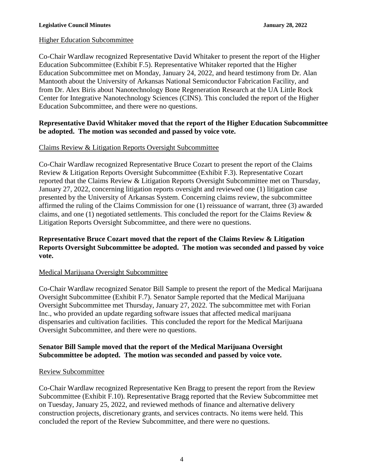# Higher Education Subcommittee

Co-Chair Wardlaw recognized Representative David Whitaker to present the report of the Higher Education Subcommittee (Exhibit F.5). Representative Whitaker reported that the Higher Education Subcommittee met on Monday, January 24, 2022, and heard testimony from Dr. Alan Mantooth about the University of Arkansas National Semiconductor Fabrication Facility, and from Dr. Alex Biris about Nanotechnology Bone Regeneration Research at the UA Little Rock Center for Integrative Nanotechnology Sciences (CINS). This concluded the report of the Higher Education Subcommittee, and there were no questions.

## **Representative David Whitaker moved that the report of the Higher Education Subcommittee be adopted. The motion was seconded and passed by voice vote.**

# Claims Review & Litigation Reports Oversight Subcommittee

Co-Chair Wardlaw recognized Representative Bruce Cozart to present the report of the Claims Review & Litigation Reports Oversight Subcommittee (Exhibit F.3). Representative Cozart reported that the Claims Review & Litigation Reports Oversight Subcommittee met on Thursday, January 27, 2022, concerning litigation reports oversight and reviewed one (1) litigation case presented by the University of Arkansas System. Concerning claims review, the subcommittee affirmed the ruling of the Claims Commission for one (1) reissuance of warrant, three (3) awarded claims, and one (1) negotiated settlements. This concluded the report for the Claims Review & Litigation Reports Oversight Subcommittee, and there were no questions.

## **Representative Bruce Cozart moved that the report of the Claims Review & Litigation Reports Oversight Subcommittee be adopted. The motion was seconded and passed by voice vote.**

#### Medical Marijuana Oversight Subcommittee

Co-Chair Wardlaw recognized Senator Bill Sample to present the report of the Medical Marijuana Oversight Subcommittee (Exhibit F.7). Senator Sample reported that the Medical Marijuana Oversight Subcommittee met Thursday, January 27, 2022. The subcommittee met with Forian Inc., who provided an update regarding software issues that affected medical marijuana dispensaries and cultivation facilities. This concluded the report for the Medical Marijuana Oversight Subcommittee, and there were no questions.

## **Senator Bill Sample moved that the report of the Medical Marijuana Oversight Subcommittee be adopted. The motion was seconded and passed by voice vote.**

#### Review Subcommittee

Co-Chair Wardlaw recognized Representative Ken Bragg to present the report from the Review Subcommittee (Exhibit F.10). Representative Bragg reported that the Review Subcommittee met on Tuesday, January 25, 2022, and reviewed methods of finance and alternative delivery construction projects, discretionary grants, and services contracts. No items were held. This concluded the report of the Review Subcommittee, and there were no questions.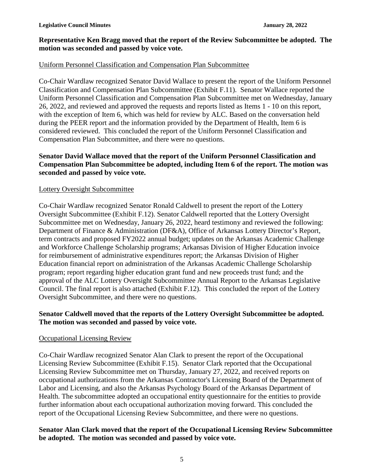## **Representative Ken Bragg moved that the report of the Review Subcommittee be adopted. The motion was seconded and passed by voice vote.**

# Uniform Personnel Classification and Compensation Plan Subcommittee

Co-Chair Wardlaw recognized Senator David Wallace to present the report of the Uniform Personnel Classification and Compensation Plan Subcommittee (Exhibit F.11). Senator Wallace reported the Uniform Personnel Classification and Compensation Plan Subcommittee met on Wednesday, January 26, 2022, and reviewed and approved the requests and reports listed as Items 1 - 10 on this report, with the exception of Item 6, which was held for review by ALC. Based on the conversation held during the PEER report and the information provided by the Department of Health, Item 6 is considered reviewed. This concluded the report of the Uniform Personnel Classification and Compensation Plan Subcommittee, and there were no questions.

## **Senator David Wallace moved that the report of the Uniform Personnel Classification and Compensation Plan Subcommittee be adopted, including Item 6 of the report. The motion was seconded and passed by voice vote.**

#### Lottery Oversight Subcommittee

Co-Chair Wardlaw recognized Senator Ronald Caldwell to present the report of the Lottery Oversight Subcommittee (Exhibit F.12). Senator Caldwell reported that the Lottery Oversight Subcommittee met on Wednesday, January 26, 2022, heard testimony and reviewed the following: Department of Finance & Administration (DF&A), Office of Arkansas Lottery Director's Report, term contracts and proposed FY2022 annual budget; updates on the Arkansas Academic Challenge and Workforce Challenge Scholarship programs; Arkansas Division of Higher Education invoice for reimbursement of administrative expenditures report; the Arkansas Division of Higher Education financial report on administration of the Arkansas Academic Challenge Scholarship program; report regarding higher education grant fund and new proceeds trust fund; and the approval of the ALC Lottery Oversight Subcommittee Annual Report to the Arkansas Legislative Council. The final report is also attached (Exhibit F.12). This concluded the report of the Lottery Oversight Subcommittee, and there were no questions.

## **Senator Caldwell moved that the reports of the Lottery Oversight Subcommittee be adopted. The motion was seconded and passed by voice vote.**

#### Occupational Licensing Review

Co-Chair Wardlaw recognized Senator Alan Clark to present the report of the Occupational Licensing Review Subcommittee (Exhibit F.15). Senator Clark reported that the Occupational Licensing Review Subcommittee met on Thursday, January 27, 2022, and received reports on occupational authorizations from the Arkansas Contractor's Licensing Board of the Department of Labor and Licensing, and also the Arkansas Psychology Board of the Arkansas Department of Health. The subcommittee adopted an occupational entity questionnaire for the entities to provide further information about each occupational authorization moving forward. This concluded the report of the Occupational Licensing Review Subcommittee, and there were no questions.

## **Senator Alan Clark moved that the report of the Occupational Licensing Review Subcommittee be adopted. The motion was seconded and passed by voice vote.**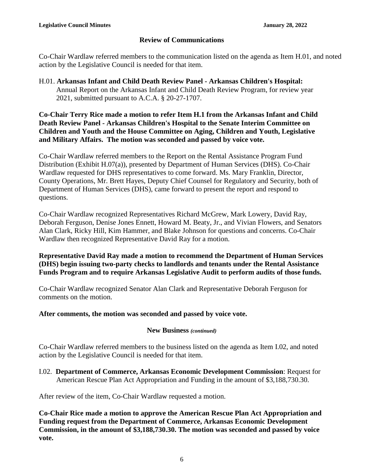## **Review of Communications**

Co-Chair Wardlaw referred members to the communication listed on the agenda as Item H.01, and noted action by the Legislative Council is needed for that item.

H.01. **Arkansas Infant and Child Death Review Panel - Arkansas Children's Hospital:**  Annual Report on the Arkansas Infant and Child Death Review Program, for review year 2021, submitted pursuant to A.C.A. § 20-27-1707.

**Co-Chair Terry Rice made a motion to refer Item H.1 from the Arkansas Infant and Child Death Review Panel - Arkansas Children's Hospital to the Senate Interim Committee on Children and Youth and the House Committee on Aging, Children and Youth, Legislative and Military Affairs. The motion was seconded and passed by voice vote.**

Co-Chair Wardlaw referred members to the Report on the Rental Assistance Program Fund Distribution (Exhibit H.07(a)), presented by Department of Human Services (DHS). Co-Chair Wardlaw requested for DHS representatives to come forward. Ms. Mary Franklin, Director, County Operations, Mr. Brett Hayes, Deputy Chief Counsel for Regulatory and Security, both of Department of Human Services (DHS), came forward to present the report and respond to questions.

Co-Chair Wardlaw recognized Representatives Richard McGrew, Mark Lowery, David Ray, Deborah Ferguson, Denise Jones Ennett, Howard M. Beaty, Jr., and Vivian Flowers, and Senators Alan Clark, Ricky Hill, Kim Hammer, and Blake Johnson for questions and concerns. Co-Chair Wardlaw then recognized Representative David Ray for a motion.

**Representative David Ray made a motion to recommend the Department of Human Services (DHS) begin issuing two-party checks to landlords and tenants under the Rental Assistance Funds Program and to require Arkansas Legislative Audit to perform audits of those funds.** 

Co-Chair Wardlaw recognized Senator Alan Clark and Representative Deborah Ferguson for comments on the motion.

#### **After comments, the motion was seconded and passed by voice vote.**

#### **New Business** *(continued)*

Co-Chair Wardlaw referred members to the business listed on the agenda as Item I.02, and noted action by the Legislative Council is needed for that item.

I.02. **Department of Commerce, Arkansas Economic Development Commission**: Request for American Rescue Plan Act Appropriation and Funding in the amount of \$3,188,730.30.

After review of the item, Co-Chair Wardlaw requested a motion.

**Co-Chair Rice made a motion to approve the American Rescue Plan Act Appropriation and Funding request from the Department of Commerce, Arkansas Economic Development Commission, in the amount of \$3,188,730.30. The motion was seconded and passed by voice vote.**